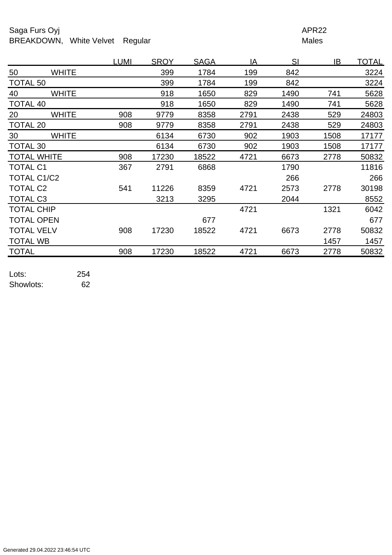## Saga Furs Oyj and the Saga Furs Oyj APR22 BREAKDOWN, White Velvet Regular Males

|                    |              | <b>LUMI</b> | <b>SROY</b> | <b>SAGA</b> | IA   | SI   | IB   | <u>TOTAL</u> |
|--------------------|--------------|-------------|-------------|-------------|------|------|------|--------------|
| 50                 | <b>WHITE</b> |             | 399         | 1784        | 199  | 842  |      | 3224         |
| <b>TOTAL 50</b>    |              |             | 399         | 1784        | 199  | 842  |      | 3224         |
| 40                 | <b>WHITE</b> |             | 918         | 1650        | 829  | 1490 | 741  | 5628         |
| <b>TOTAL 40</b>    |              |             | 918         | 1650        | 829  | 1490 | 741  | 5628         |
| 20                 | <b>WHITE</b> | 908         | 9779        | 8358        | 2791 | 2438 | 529  | 24803        |
| <b>TOTAL 20</b>    |              | 908         | 9779        | 8358        | 2791 | 2438 | 529  | 24803        |
| 30                 | <b>WHITE</b> |             | 6134        | 6730        | 902  | 1903 | 1508 | 17177        |
| <b>TOTAL 30</b>    |              |             | 6134        | 6730        | 902  | 1903 | 1508 | 17177        |
| <b>TOTAL WHITE</b> |              | 908         | 17230       | 18522       | 4721 | 6673 | 2778 | 50832        |
| <b>TOTAL C1</b>    |              | 367         | 2791        | 6868        |      | 1790 |      | 11816        |
| TOTAL C1/C2        |              |             |             |             |      | 266  |      | 266          |
| <b>TOTAL C2</b>    |              | 541         | 11226       | 8359        | 4721 | 2573 | 2778 | 30198        |
| <b>TOTAL C3</b>    |              |             | 3213        | 3295        |      | 2044 |      | 8552         |
| <b>TOTAL CHIP</b>  |              |             |             |             | 4721 |      | 1321 | 6042         |
| <b>TOTAL OPEN</b>  |              |             |             | 677         |      |      |      | 677          |
| <b>TOTAL VELV</b>  |              | 908         | 17230       | 18522       | 4721 | 6673 | 2778 | 50832        |
| <b>TOTAL WB</b>    |              |             |             |             |      |      | 1457 | 1457         |
| <b>TOTAL</b>       |              | 908         | 17230       | 18522       | 4721 | 6673 | 2778 | 50832        |
|                    |              |             |             |             |      |      |      |              |

Lots: 254 Showlots: 62